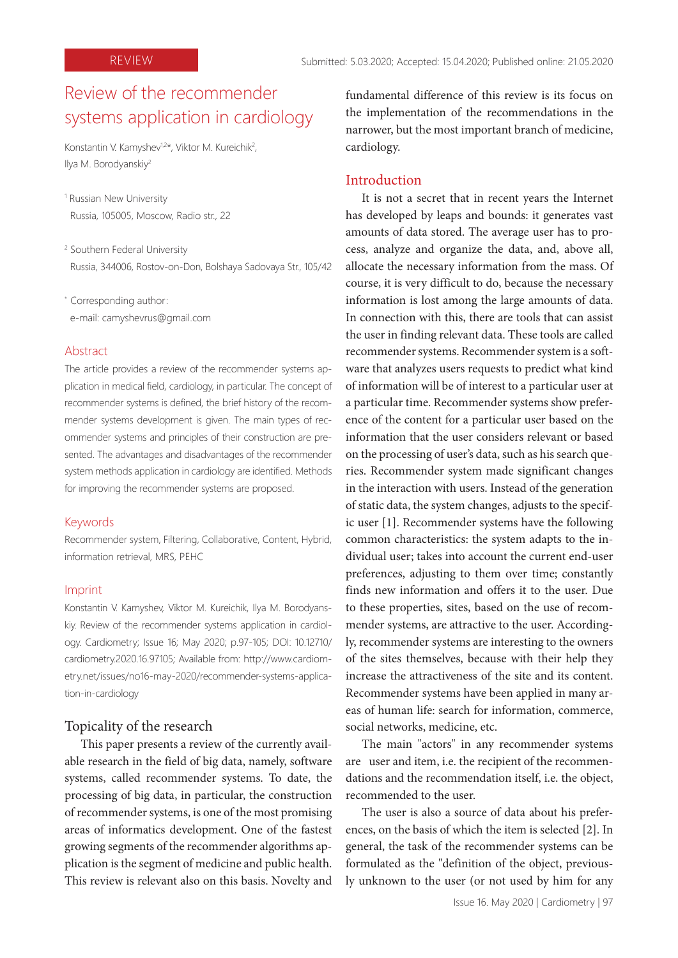# Review of the recommender systems application in cardiology

Konstantin V. Kamyshev<sup>1,2\*</sup>, Viktor M. Kureichik<sup>2</sup>, Ilya M. Borodyanskiy<sup>2</sup>

- 1 Russian New University Russia, 105005, Moscow, Radio str., 22
- 2 Southern Federal University Russia, 344006, Rostov-on-Don, Bolshaya Sadovaya Str., 105/42
- \* Corresponding author:
- e-mail: camyshevrus@gmail.com

#### Abstract

The article provides a review of the recommender systems application in medical field, cardiology, in particular. The concept of recommender systems is defined, the brief history of the recommender systems development is given. The main types of recommender systems and principles of their construction are presented. The advantages and disadvantages of the recommender system methods application in cardiology are identified. Methods for improving the recommender systems are proposed.

#### Keywords

Recommender system, Filtering, Collaborative, Content, Hybrid, information retrieval, MRS, PEHC

#### Imprint

Konstantin V. Kamyshev, Viktor M. Kureichik, Ilya M. Borodyanskiy. Review of the recommender systems application in cardiology. Cardiometry; Issue 16; May 2020; p.97-105; DOI: 10.12710/ cardiometry.2020.16.97105; Available from: http://www.cardiometry.net/issues/no16-may-2020/recommender-systems-application-in-cardiology

# Topicality of the research

This paper presents a review of the currently available research in the field of big data, namely, software systems, called recommender systems. To date, the processing of big data, in particular, the construction of recommender systems, is one of the most promising areas of informatics development. One of the fastest growing segments of the recommender algorithms application is the segment of medicine and public health. This review is relevant also on this basis. Novelty and

fundamental difference of this review is its focus on the implementation of the recommendations in the narrower, but the most important branch of medicine, cardiology.

# Introduction

It is not a secret that in recent years the Internet has developed by leaps and bounds: it generates vast amounts of data stored. The average user has to process, analyze and organize the data, and, above all, allocate the necessary information from the mass. Of course, it is very difficult to do, because the necessary information is lost among the large amounts of data. In connection with this, there are tools that can assist the user in finding relevant data. These tools are called recommender systems. Recommender system is a software that analyzes users requests to predict what kind of information will be of interest to a particular user at a particular time. Recommender systems show preference of the content for a particular user based on the information that the user considers relevant or based on the processing of user's data, such as his search queries. Recommender system made significant changes in the interaction with users. Instead of the generation of static data, the system changes, adjusts to the specific user [1]. Recommender systems have the following common characteristics: the system adapts to the individual user; takes into account the current end-user preferences, adjusting to them over time; constantly finds new information and offers it to the user. Due to these properties, sites, based on the use of recommender systems, are attractive to the user. Accordingly, recommender systems are interesting to the owners of the sites themselves, because with their help they increase the attractiveness of the site and its content. Recommender systems have been applied in many areas of human life: search for information, commerce, social networks, medicine, etc.

The main "actors" in any recommender systems are user and item, i.e. the recipient of the recommendations and the recommendation itself, i.e. the object, recommended to the user.

The user is also a source of data about his preferences, on the basis of which the item is selected [2]. In general, the task of the recommender systems can be formulated as the "definition of the object, previously unknown to the user (or not used by him for any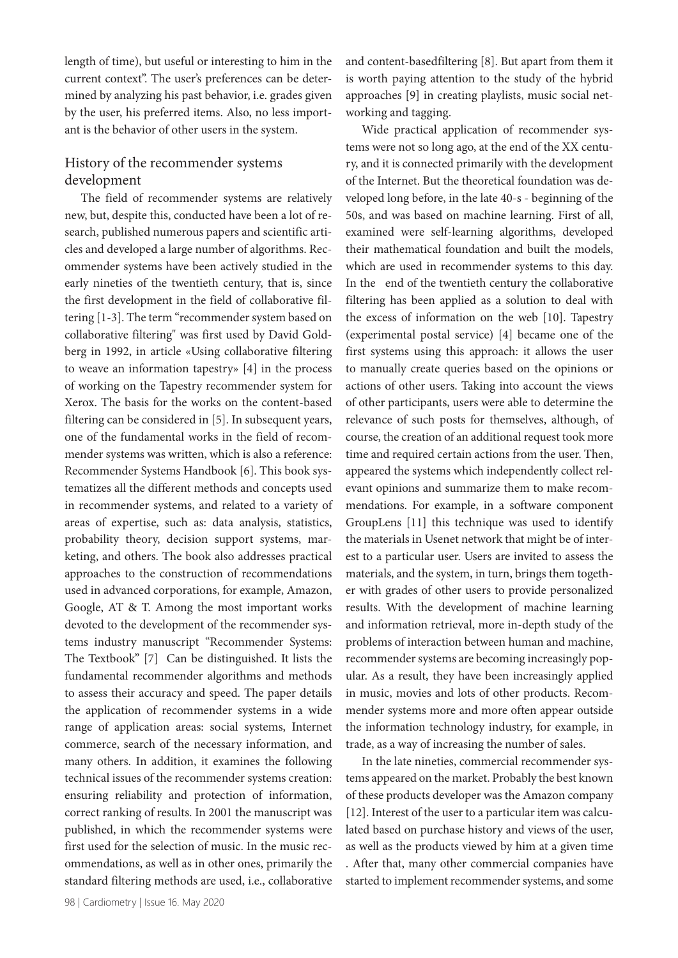length of time), but useful or interesting to him in the current context". The user's preferences can be determined by analyzing his past behavior, i.e. grades given by the user, his preferred items. Also, no less important is the behavior of other users in the system.

# History of the recommender systems development

The field of recommender systems are relatively new, but, despite this, conducted have been a lot of research, published numerous papers and scientific articles and developed a large number of algorithms. Recommender systems have been actively studied in the early nineties of the twentieth century, that is, since the first development in the field of collaborative filtering [1-3]. The term "recommender system based on collaborative filtering" was first used by David Goldberg in 1992, in article «Using collaborative filtering to weave an information tapestry» [4] in the process of working on the Tapestry recommender system for Xerox. The basis for the works on the content-based filtering can be considered in [5]. In subsequent years, one of the fundamental works in the field of recommender systems was written, which is also a reference: Recommender Systems Handbook [6]. This book systematizes all the different methods and concepts used in recommender systems, and related to a variety of areas of expertise, such as: data analysis, statistics, probability theory, decision support systems, marketing, and others. The book also addresses practical approaches to the construction of recommendations used in advanced corporations, for example, Amazon, Google, AT & T. Among the most important works devoted to the development of the recommender systems industry manuscript "Recommender Systems: The Textbook" [7] Can be distinguished. It lists the fundamental recommender algorithms and methods to assess their accuracy and speed. The paper details the application of recommender systems in a wide range of application areas: social systems, Internet commerce, search of the necessary information, and many others. In addition, it examines the following technical issues of the recommender systems creation: ensuring reliability and protection of information, correct ranking of results. In 2001 the manuscript was published, in which the recommender systems were first used for the selection of music. In the music recommendations, as well as in other ones, primarily the standard filtering methods are used, i.e., collaborative

98 | Cardiometry | Issue 16. May 2020

and content-basedfiltering [8]. But apart from them it is worth paying attention to the study of the hybrid approaches [9] in creating playlists, music social networking and tagging.

Wide practical application of recommender systems were not so long ago, at the end of the XX century, and it is connected primarily with the development of the Internet. But the theoretical foundation was developed long before, in the late 40-s - beginning of the 50s, and was based on machine learning. First of all, examined were self-learning algorithms, developed their mathematical foundation and built the models, which are used in recommender systems to this day. In the end of the twentieth century the collaborative filtering has been applied as a solution to deal with the excess of information on the web [10]. Tapestry (experimental postal service) [4] became one of the first systems using this approach: it allows the user to manually create queries based on the opinions or actions of other users. Taking into account the views of other participants, users were able to determine the relevance of such posts for themselves, although, of course, the creation of an additional request took more time and required certain actions from the user. Then, appeared the systems which independently collect relevant opinions and summarize them to make recommendations. For example, in a software component GroupLens [11] this technique was used to identify the materials in Usenet network that might be of interest to a particular user. Users are invited to assess the materials, and the system, in turn, brings them together with grades of other users to provide personalized results. With the development of machine learning and information retrieval, more in-depth study of the problems of interaction between human and machine, recommender systems are becoming increasingly popular. As a result, they have been increasingly applied in music, movies and lots of other products. Recommender systems more and more often appear outside the information technology industry, for example, in trade, as a way of increasing the number of sales.

In the late nineties, commercial recommender systems appeared on the market. Probably the best known of these products developer was the Amazon company [12]. Interest of the user to a particular item was calculated based on purchase history and views of the user, as well as the products viewed by him at a given time . After that, many other commercial companies have started to implement recommender systems, and some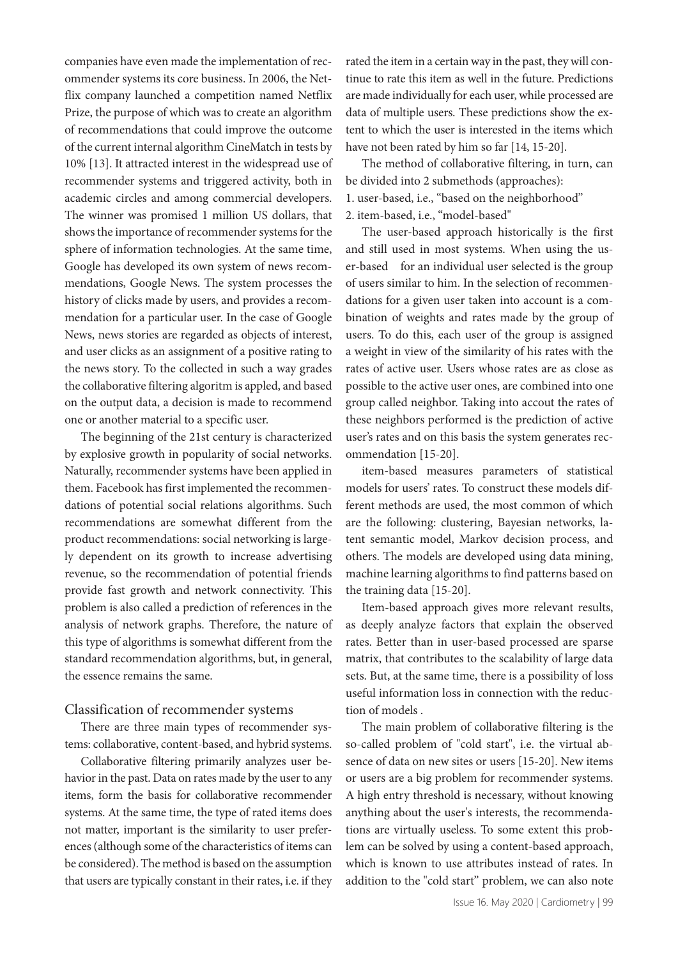companies have even made the implementation of recommender systems its core business. In 2006, the Netflix company launched a competition named Netflix Prize, the purpose of which was to create an algorithm of recommendations that could improve the outcome of the current internal algorithm CineMatch in tests by 10% [13]. It attracted interest in the widespread use of recommender systems and triggered activity, both in academic circles and among commercial developers. The winner was promised 1 million US dollars, that shows the importance of recommender systems for the sphere of information technologies. At the same time, Google has developed its own system of news recommendations, Google News. The system processes the history of clicks made by users, and provides a recommendation for a particular user. In the case of Google News, news stories are regarded as objects of interest, and user clicks as an assignment of a positive rating to the news story. To the collected in such a way grades the collaborative filtering algoritm is appled, and based on the output data, a decision is made to recommend one or another material to a specific user.

The beginning of the 21st century is characterized by explosive growth in popularity of social networks. Naturally, recommender systems have been applied in them. Facebook has first implemented the recommendations of potential social relations algorithms. Such recommendations are somewhat different from the product recommendations: social networking is largely dependent on its growth to increase advertising revenue, so the recommendation of potential friends provide fast growth and network connectivity. This problem is also called a prediction of references in the analysis of network graphs. Therefore, the nature of this type of algorithms is somewhat different from the standard recommendation algorithms, but, in general, the essence remains the same.

# Classification of recommender systems

There are three main types of recommender systems: collaborative, content-based, and hybrid systems.

Collaborative filtering primarily analyzes user behavior in the past. Data on rates made by the user to any items, form the basis for collaborative recommender systems. At the same time, the type of rated items does not matter, important is the similarity to user preferences (although some of the characteristics of items can be considered). The method is based on the assumption that users are typically constant in their rates, i.e. if they rated the item in a certain way in the past, they will continue to rate this item as well in the future. Predictions are made individually for each user, while processed are data of multiple users. These predictions show the extent to which the user is interested in the items which have not been rated by him so far [14, 15-20].

The method of collaborative filtering, in turn, can be divided into 2 submethods (approaches): 1. user-based, i.e., "based on the neighborhood" 2. item-based, i.e., "model-based"

The user-based approach historically is the first and still used in most systems. When using the user-based for an individual user selected is the group of users similar to him. In the selection of recommendations for a given user taken into account is a combination of weights and rates made by the group of users. To do this, each user of the group is assigned a weight in view of the similarity of his rates with the rates of active user. Users whose rates are as close as possible to the active user ones, are combined into one group called neighbor. Taking into accout the rates of these neighbors performed is the prediction of active user's rates and on this basis the system generates recommendation [15-20].

item-based measures parameters of statistical models for users' rates. To construct these models different methods are used, the most common of which are the following: clustering, Bayesian networks, latent semantic model, Markov decision process, and others. The models are developed using data mining, machine learning algorithms to find patterns based on the training data [15-20].

Item-based approach gives more relevant results, as deeply analyze factors that explain the observed rates. Better than in user-based processed are sparse matrix, that contributes to the scalability of large data sets. But, at the same time, there is a possibility of loss useful information loss in connection with the reduction of models .

The main problem of collaborative filtering is the so-called problem of "cold start", i.e. the virtual absence of data on new sites or users [15-20]. New items or users are a big problem for recommender systems. A high entry threshold is necessary, without knowing anything about the user's interests, the recommendations are virtually useless. To some extent this problem can be solved by using a content-based approach, which is known to use attributes instead of rates. In addition to the "cold start" problem, we can also note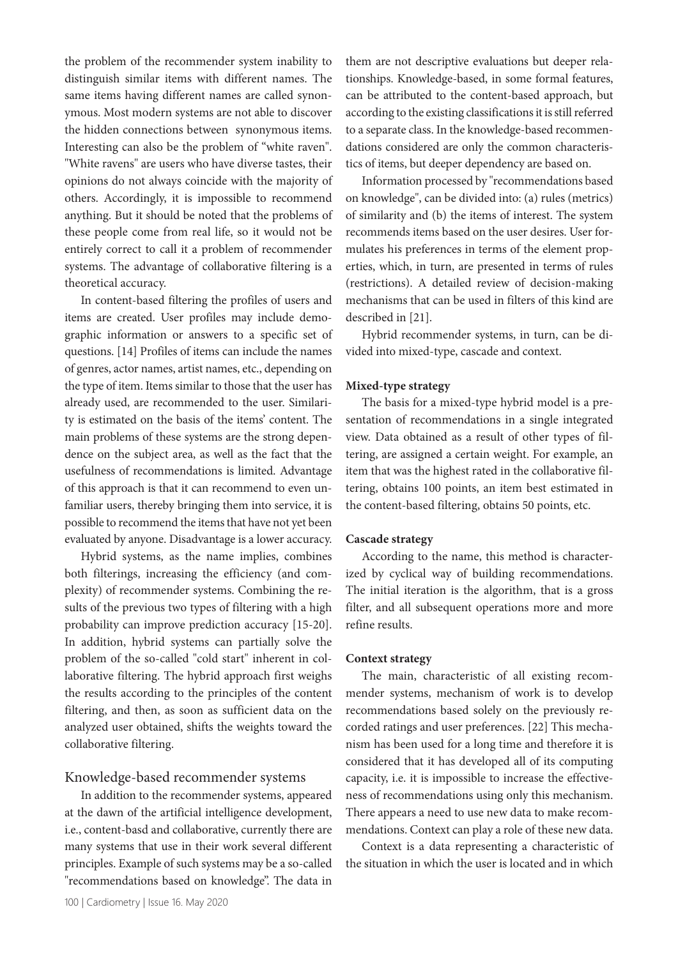the problem of the recommender system inability to distinguish similar items with different names. The same items having different names are called synonymous. Most modern systems are not able to discover the hidden connections between synonymous items. Interesting can also be the problem of "white raven". "White ravens" are users who have diverse tastes, their opinions do not always coincide with the majority of others. Accordingly, it is impossible to recommend anything. But it should be noted that the problems of these people come from real life, so it would not be entirely correct to call it a problem of recommender systems. The advantage of collaborative filtering is a theoretical accuracy.

In content-based filtering the profiles of users and items are created. User profiles may include demographic information or answers to a specific set of questions. [14] Profiles of items can include the names of genres, actor names, artist names, etc., depending on the type of item. Items similar to those that the user has already used, are recommended to the user. Similarity is estimated on the basis of the items' content. The main problems of these systems are the strong dependence on the subject area, as well as the fact that the usefulness of recommendations is limited. Advantage of this approach is that it can recommend to even unfamiliar users, thereby bringing them into service, it is possible to recommend the items that have not yet been evaluated by anyone. Disadvantage is a lower accuracy.

Hybrid systems, as the name implies, combines both filterings, increasing the efficiency (and complexity) of recommender systems. Combining the results of the previous two types of filtering with a high probability can improve prediction accuracy [15-20]. In addition, hybrid systems can partially solve the problem of the so-called "cold start" inherent in collaborative filtering. The hybrid approach first weighs the results according to the principles of the content filtering, and then, as soon as sufficient data on the analyzed user obtained, shifts the weights toward the collaborative filtering.

# Knowledge-based recommender systems

In addition to the recommender systems, appeared at the dawn of the artificial intelligence development, i.e., content-basd and collaborative, currently there are many systems that use in their work several different principles. Example of such systems may be a so-called "recommendations based on knowledge". The data in

100 | Cardiometry | Issue 16. May 2020

them are not descriptive evaluations but deeper relationships. Knowledge-based, in some formal features, can be attributed to the content-based approach, but according to the existing classifications it is still referred to a separate class. In the knowledge-based recommendations considered are only the common characteristics of items, but deeper dependency are based on.

Information processed by "recommendations based on knowledge", can be divided into: (a) rules (metrics) of similarity and (b) the items of interest. The system recommends items based on the user desires. User formulates his preferences in terms of the element properties, which, in turn, are presented in terms of rules (restrictions). A detailed review of decision-making mechanisms that can be used in filters of this kind are described in [21].

Hybrid recommender systems, in turn, can be divided into mixed-type, cascade and context.

#### **Mixed-type strategy**

The basis for a mixed-type hybrid model is a presentation of recommendations in a single integrated view. Data obtained as a result of other types of filtering, are assigned a certain weight. For example, an item that was the highest rated in the collaborative filtering, obtains 100 points, an item best estimated in the content-based filtering, obtains 50 points, etc.

#### **Cascade strategy**

According to the name, this method is characterized by cyclical way of building recommendations. The initial iteration is the algorithm, that is a gross filter, and all subsequent operations more and more refine results.

#### **Context strategy**

The main, characteristic of all existing recommender systems, mechanism of work is to develop recommendations based solely on the previously recorded ratings and user preferences. [22] This mechanism has been used for a long time and therefore it is considered that it has developed all of its computing capacity, i.e. it is impossible to increase the effectiveness of recommendations using only this mechanism. There appears a need to use new data to make recommendations. Context can play a role of these new data.

Context is a data representing a characteristic of the situation in which the user is located and in which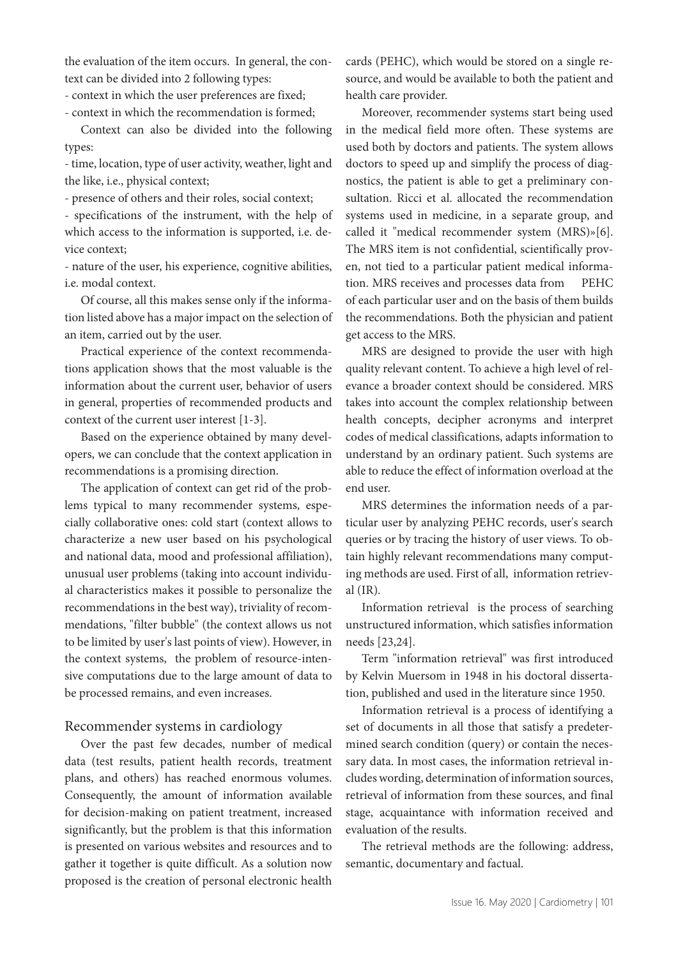the evaluation of the item occurs. In general, the context can be divided into 2 following types:

- context in which the user preferences are fixed;

- context in which the recommendation is formed;

Context can also be divided into the following types:

- time, location, type of user activity, weather, light and the like, i.e., physical context;

- presence of others and their roles, social context;

- specifications of the instrument, with the help of which access to the information is supported, i.e. device context;

- nature of the user, his experience, cognitive abilities, i.e. modal context.

Of course, all this makes sense only if the information listed above has a major impact on the selection of an item, carried out by the user.

Practical experience of the context recommendations application shows that the most valuable is the information about the current user, behavior of users in general, properties of recommended products and context of the current user interest [1-3].

Based on the experience obtained by many developers, we can conclude that the context application in recommendations is a promising direction.

The application of context can get rid of the problems typical to many recommender systems, especially collaborative ones: cold start (context allows to characterize a new user based on his psychological and national data, mood and professional affiliation), unusual user problems (taking into account individual characteristics makes it possible to personalize the recommendations in the best way), triviality of recommendations, "filter bubble" (the context allows us not to be limited by user's last points of view). However, in the context systems, the problem of resource-intensive computations due to the large amount of data to be processed remains, and even increases.

# Recommender systems in cardiology

Over the past few decades, number of medical data (test results, patient health records, treatment plans, and others) has reached enormous volumes. Consequently, the amount of information available for decision-making on patient treatment, increased significantly, but the problem is that this information is presented on various websites and resources and to gather it together is quite difficult. As a solution now proposed is the creation of personal electronic health

cards (PEHC), which would be stored on a single resource, and would be available to both the patient and health care provider.

Moreover, recommender systems start being used in the medical field more often. These systems are used both by doctors and patients. The system allows doctors to speed up and simplify the process of diagnostics, the patient is able to get a preliminary consultation. Ricci et al. allocated the recommendation systems used in medicine, in a separate group, and called it "medical recommender system (MRS)»[6]. The MRS item is not confidential, scientifically proven, not tied to a particular patient medical information. MRS receives and processes data from PEHC of each particular user and on the basis of them builds the recommendations. Both the physician and patient get access to the MRS.

MRS are designed to provide the user with high quality relevant content. To achieve a high level of relevance a broader context should be considered. MRS takes into account the complex relationship between health concepts, decipher acronyms and interpret codes of medical classifications, adapts information to understand by an ordinary patient. Such systems are able to reduce the effect of information overload at the end user.

MRS determines the information needs of a particular user by analyzing PEHC records, user's search queries or by tracing the history of user views. To obtain highly relevant recommendations many computing methods are used. First of all, information retrieval (IR).

Information retrieval is the process of searching unstructured information, which satisfies information needs [23,24].

Term "information retrieval" was first introduced by Kelvin Muersom in 1948 in his doctoral dissertation, published and used in the literature since 1950.

Information retrieval is a process of identifying a set of documents in all those that satisfy a predetermined search condition (query) or contain the necessary data. In most cases, the information retrieval includes wording, determination of information sources, retrieval of information from these sources, and final stage, acquaintance with information received and evaluation of the results.

The retrieval methods are the following: address, semantic, documentary and factual.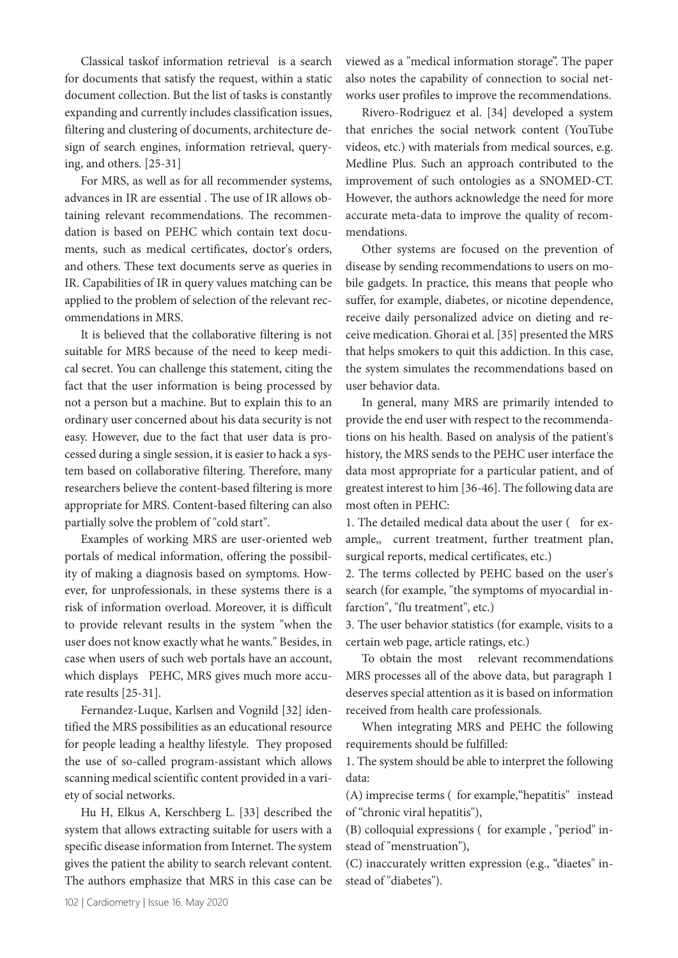Classical taskof information retrieval is a search for documents that satisfy the request, within a static document collection. But the list of tasks is constantly expanding and currently includes classification issues, filtering and clustering of documents, architecture design of search engines, information retrieval, querying, and others. [25-31]

For MRS, as well as for all recommender systems, advances in IR are essential . The use of IR allows obtaining relevant recommendations. The recommendation is based on PEHC which contain text documents, such as medical certificates, doctor's orders, and others. These text documents serve as queries in IR. Capabilities of IR in query values matching can be applied to the problem of selection of the relevant recommendations in MRS.

It is believed that the collaborative filtering is not suitable for MRS because of the need to keep medical secret. You can challenge this statement, citing the fact that the user information is being processed by not a person but a machine. But to explain this to an ordinary user concerned about his data security is not easy. However, due to the fact that user data is processed during a single session, it is easier to hack a system based on collaborative filtering. Therefore, many researchers believe the content-based filtering is more appropriate for MRS. Content-based filtering can also partially solve the problem of "cold start".

Examples of working MRS are user-oriented web portals of medical information, offering the possibility of making a diagnosis based on symptoms. However, for unprofessionals, in these systems there is a risk of information overload. Moreover, it is difficult to provide relevant results in the system "when the user does not know exactly what he wants." Besides, in case when users of such web portals have an account, which displays PEHC, MRS gives much more accurate results [25-31].

Fernandez-Luque, Karlsen and Vognild [32] identified the MRS possibilities as an educational resource for people leading a healthy lifestyle. They proposed the use of so-called program-assistant which allows scanning medical scientific content provided in a variety of social networks.

Hu H, Elkus A, Kerschberg L. [33] described the system that allows extracting suitable for users with a specific disease information from Internet. The system gives the patient the ability to search relevant content. The authors emphasize that MRS in this case can be

viewed as a "medical information storage". The paper also notes the capability of connection to social networks user profiles to improve the recommendations.

Rivero-Rodriguez et al. [34] developed a system that enriches the social network content (YouTube videos, etc.) with materials from medical sources, e.g. Medline Plus. Such an approach contributed to the improvement of such ontologies as a SNOMED-CT. However, the authors acknowledge the need for more accurate meta-data to improve the quality of recommendations.

Other systems are focused on the prevention of disease by sending recommendations to users on mobile gadgets. In practice, this means that people who suffer, for example, diabetes, or nicotine dependence, receive daily personalized advice on dieting and receive medication. Ghorai et al. [35] presented the MRS that helps smokers to quit this addiction. In this case, the system simulates the recommendations based on user behavior data.

In general, many MRS are primarily intended to provide the end user with respect to the recommendations on his health. Based on analysis of the patient's history, the MRS sends to the PEHC user interface the data most appropriate for a particular patient, and of greatest interest to him [36-46]. The following data are most often in PEHC:

1. The detailed medical data about the user ( for example,, current treatment, further treatment plan, surgical reports, medical certificates, etc.)

2. The terms collected by PEHC based on the user's search (for example, "the symptoms of myocardial infarction", "flu treatment", etc.)

3. The user behavior statistics (for example, visits to a certain web page, article ratings, etc.)

To obtain the most relevant recommendations MRS processes all of the above data, but paragraph 1 deserves special attention as it is based on information received from health care professionals.

When integrating MRS and PEHC the following requirements should be fulfilled:

1. The system should be able to interpret the following data:

(A) imprecise terms ( for example,"hepatitis" instead of "chronic viral hepatitis"),

(B) colloquial expressions ( for example , "period" instead of "menstruation"),

(C) inaccurately written expression (e.g., "diaetes" instead of "diabetes").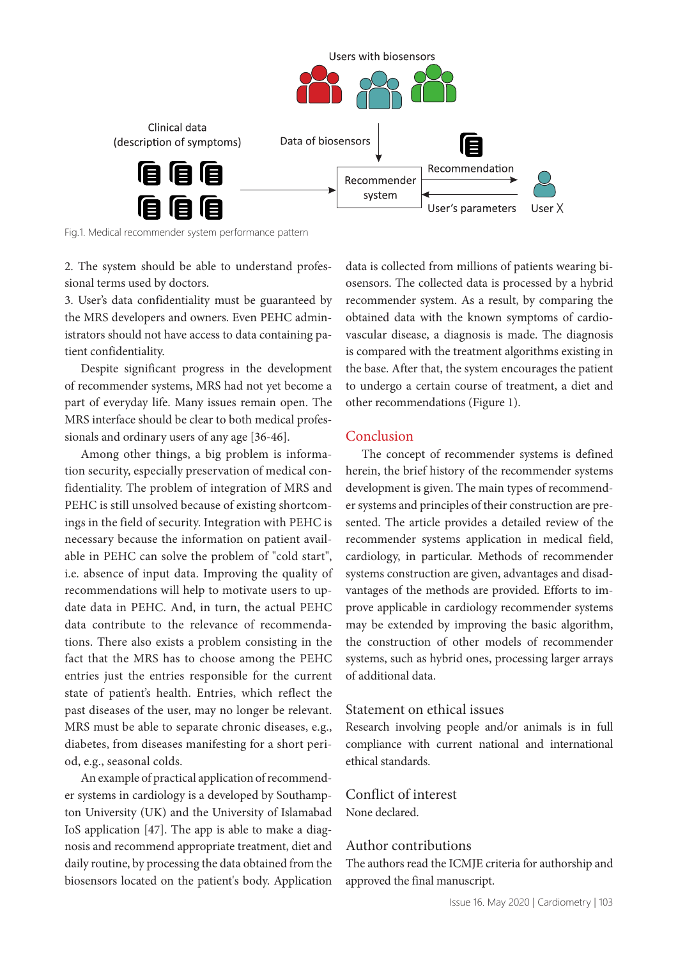

Fig.1. Medical recommender system performance pattern

2. The system should be able to understand professional terms used by doctors.

3. User's data confidentiality must be guaranteed by the MRS developers and owners. Even PEHC administrators should not have access to data containing patient confidentiality.

Despite significant progress in the development of recommender systems, MRS had not yet become a part of everyday life. Many issues remain open. The MRS interface should be clear to both medical professionals and ordinary users of any age [36-46].

Among other things, a big problem is information security, especially preservation of medical confidentiality. The problem of integration of MRS and PEHC is still unsolved because of existing shortcomings in the field of security. Integration with PEHC is necessary because the information on patient available in PEHC can solve the problem of "cold start", i.e. absence of input data. Improving the quality of recommendations will help to motivate users to update data in PEHC. And, in turn, the actual PEHC data contribute to the relevance of recommendations. There also exists a problem consisting in the fact that the MRS has to choose among the PEHC entries just the entries responsible for the current state of patient's health. Entries, which reflect the past diseases of the user, may no longer be relevant. MRS must be able to separate chronic diseases, e.g., diabetes, from diseases manifesting for a short period, e.g., seasonal colds.

An example of practical application of recommender systems in cardiology is a developed by Southampton University (UK) and the University of Islamabad IoS application [47]. The app is able to make a diagnosis and recommend appropriate treatment, diet and daily routine, by processing the data obtained from the biosensors located on the patient's body. Application

data is collected from millions of patients wearing biosensors. The collected data is processed by a hybrid recommender system. As a result, by comparing the obtained data with the known symptoms of cardiovascular disease, a diagnosis is made. The diagnosis is compared with the treatment algorithms existing in the base. After that, the system encourages the patient to undergo a certain course of treatment, a diet and other recommendations (Figure 1).

### Conclusion

The concept of recommender systems is defined herein, the brief history of the recommender systems development is given. The main types of recommender systems and principles of their construction are presented. The article provides a detailed review of the recommender systems application in medical field, cardiology, in particular. Methods of recommender systems construction are given, advantages and disadvantages of the methods are provided. Efforts to improve applicable in cardiology recommender systems may be extended by improving the basic algorithm, the construction of other models of recommender systems, such as hybrid ones, processing larger arrays of additional data.

# Statement on ethical issues

Research involving people and/or animals is in full compliance with current national and international ethical standards.

# Conflict of interest

None declared.

# Author contributions

The authors read the ICMJE criteria for authorship and approved the final manuscript.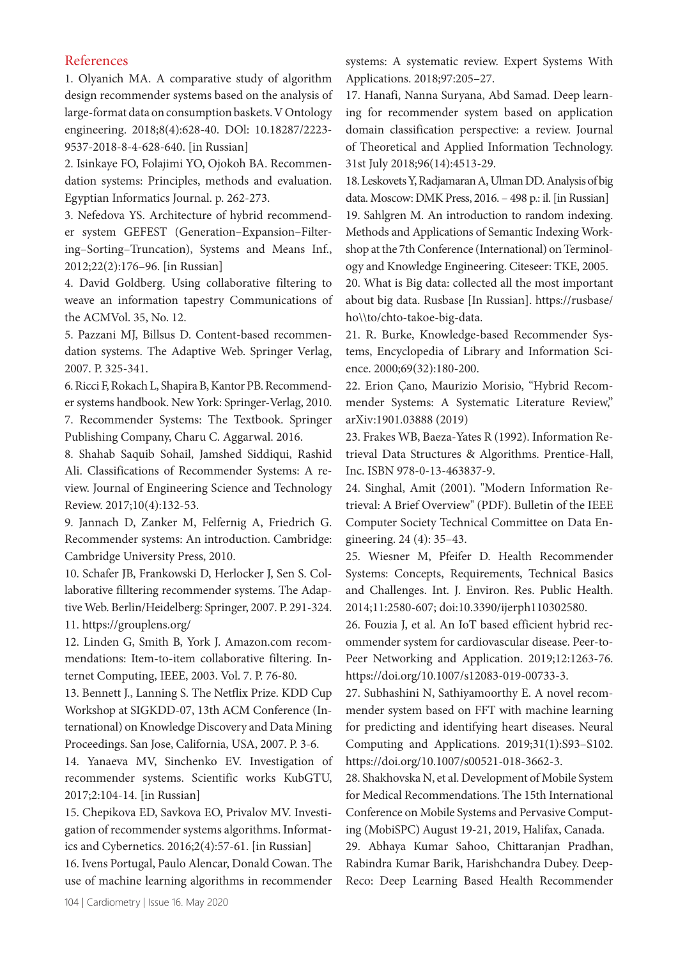# References

1. Olyanich МА. A comparative study of algorithm design recommender systems based on the analysis of large-format data on consumption baskets. V Ontology engineering. 2018;8(4):628-40. DOl: 10.18287/2223- 9537-2018-8-4-628-640. [in Russian]

2. Isinkaye FO, Folajimi YO, Ojokoh BA. Recommendation systems: Principles, methods and evaluation. Egyptian Informatics Journal. p. 262-273.

3. Nefedova YS. Architecture of hybrid recommender system GEFEST (Generation–Expansion–Filtering–Sorting–Truncation), Systems and Means Inf., 2012;22(2):176–96. [in Russian]

4. David Goldberg. Using collaborative filtering to weave an information tapestry Communications of the ACMVol. 35, No. 12.

5. Pazzani MJ, Billsus D. Content-based recommendation systems. The Adaptive Web. Springer Verlag, 2007. P. 325-341.

6. Ricci F, Rokach L, Shapira B, Kantor PB. Recommender systems handbook. New York: Springer-Verlag, 2010. 7. Recommender Systems: The Textbook. Springer Publishing Company, Charu C. Aggarwal. 2016.

8. Shahab Saquib Sohail, Jamshed Siddiqui, Rashid Ali. Classifications of Recommender Systems: A review. Journal of Engineering Science and Technology Review. 2017;10(4):132-53.

9. Jannach D, Zanker M, Felfernig A, Friedrich G. Recommender systems: An introduction. Cambridge: Cambridge University Press, 2010.

10. Schafer JB, Frankowski D, Herlocker J, Sen S. Collaborative filltering recommender systems. The Adaptive Web. Berlin/Heidelberg: Springer, 2007. P. 291-324. 11. https://grouplens.org/

12. Linden G, Smith B, York J. Amazon.com recommendations: Item-to-item collaborative filtering. Internet Computing, IEEE, 2003. Vol. 7. P. 76-80.

13. Bennett J., Lanning S. The Netflix Prize. KDD Cup Workshop at SIGKDD-07, 13th ACM Conference (International) on Knowledge Discovery and Data Mining Proceedings. San Jose, California, USA, 2007. P. 3-6.

14. Yanaeva MV, Sinchenko EV. Investigation of recommender systems. Scientific works KubGTU, 2017;2:104-14. [in Russian]

15. Chepikova ED, Savkova EO, Privalov MV. Investigation of recommender systems algorithms. Informatics and Cybernetics. 2016;2(4):57-61. [in Russian]

16. Ivens Portugal, Paulo Alencar, Donald Cowan. The use of machine learning algorithms in recommender

systems: A systematic review. Expert Systems With Applications. 2018;97:205–27.

17. Hanafi, Nanna Suryana, Abd Samad. Deep learning for recommender system based on application domain classification perspective: a review. Journal of Theoretical and Applied Information Technology. 31st July 2018;96(14):4513-29.

18. Leskovets Y, Radjamaran A, Ulman DD. Analysis of big data. Мoscow: DMK Press, 2016. – 498 p.: il. [in Russian] 19. Sahlgren M. An introduction to random indexing. Methods and Applications of Semantic Indexing Workshop at the 7th Conference (International) on Terminology and Knowledge Engineering. Citeseer: TKE, 2005.

20. What is Big data: collected all the most important about big data. Rusbase [In Russian]. https://rusbase/ ho\\to/chto-takoe-big-data.

21. R. Burke, Knowledge-based Recommender Systems, Encyclopedia of Library and Information Science. 2000;69(32):180-200.

22. Erion Çano, Maurizio Morisio, "Hybrid Recommender Systems: A Systematic Literature Review," arXiv:1901.03888 (2019)

23. Frakes WB, Baeza-Yates R (1992). Information Retrieval Data Structures & Algorithms. Prentice-Hall, Inc. ISBN 978-0-13-463837-9.

24. Singhal, Amit (2001). "Modern Information Retrieval: A Brief Overview" (PDF). Bulletin of the IEEE Computer Society Technical Committee on Data Engineering. 24 (4): 35–43.

25. Wiesner M, Pfeifer D. Health Recommender Systems: Concepts, Requirements, Technical Basics and Challenges. Int. J. Environ. Res. Public Health. 2014;11:2580-607; doi:10.3390/ijerph110302580.

26. Fouzia J, et al. An IoT based efficient hybrid recommender system for cardiovascular disease. Peer-to-Peer Networking and Application. 2019;12:1263-76. https://doi.org/10.1007/s12083-019-00733-3.

27. Subhashini N, Sathiyamoorthy E. A novel recommender system based on FFT with machine learning for predicting and identifying heart diseases. Neural Computing and Applications. 2019;31(1):S93–S102. https://doi.org/10.1007/s00521-018-3662-3.

28. Shakhovska N, et al. Development of Mobile System for Medical Recommendations. The 15th International Conference on Mobile Systems and Pervasive Computing (MobiSPC) August 19-21, 2019, Halifax, Canada.

29. Abhaya Kumar Sahoo, Chittaranjan Pradhan, Rabindra Kumar Barik, Harishchandra Dubey. Deep-Reco: Deep Learning Based Health Recommender